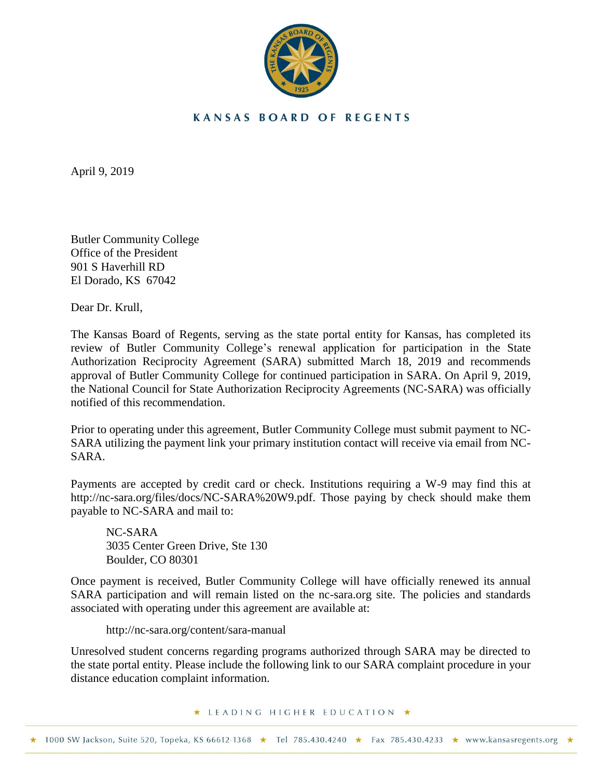

## **KANSAS BOARD OF REGENTS**

April 9, 2019

Butler Community College Office of the President 901 S Haverhill RD El Dorado, KS 67042

Dear Dr. Krull,

The Kansas Board of Regents, serving as the state portal entity for Kansas, has completed its review of Butler Community College's renewal application for participation in the State Authorization Reciprocity Agreement (SARA) submitted March 18, 2019 and recommends approval of Butler Community College for continued participation in SARA. On April 9, 2019, the National Council for State Authorization Reciprocity Agreements (NC-SARA) was officially notified of this recommendation.

Prior to operating under this agreement, Butler Community College must submit payment to NC-SARA utilizing the payment link your primary institution contact will receive via email from NC-SARA.

Payments are accepted by credit card or check. Institutions requiring a W-9 may find this at [http://nc-sara.org/files/docs/NC-SARA%20W9.pdf.](http://nc-sara.org/files/docs/NC-SARA%20W9.pdf) Those paying by check should make them payable to NC-SARA and mail to:

NC-SARA 3035 Center Green Drive, Ste 130 Boulder, CO 80301

Once payment is received, Butler Community College will have officially renewed its annual SARA participation and will remain listed on the nc-sara.org site. The policies and standards associated with operating under this agreement are available at:

<http://nc-sara.org/content/sara-manual>

Unresolved student concerns regarding programs authorized through SARA may be directed to the state portal entity. Please include the following link to our SARA complaint procedure in your distance education complaint information.

★ LEADING HIGHER EDUCATION ★